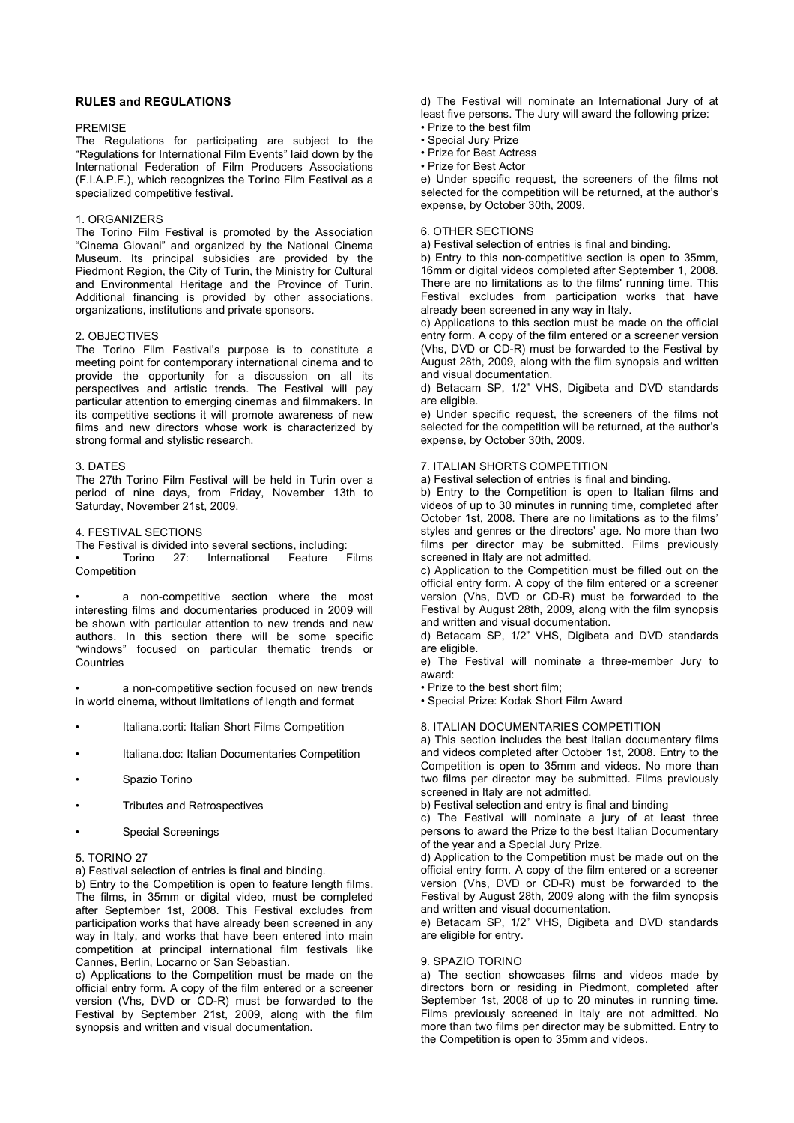# **RULES and REGULATIONS**

## PREMISE

The Regulations for participating are subject to the "Regulations for International Film Events" laid down by the International Federation of Film Producers Associations (F.I.A.P.F.), which recognizes the Torino Film Festival as a specialized competitive festival.

## 1. ORGANIZERS

The Torino Film Festival is promoted by the Association "Cinema Giovani" and organized by the National Cinema Museum. Its principal subsidies are provided by the Piedmont Region, the City of Turin, the Ministry for Cultural and Environmental Heritage and the Province of Turin. Additional financing is provided by other associations, organizations, institutions and private sponsors.

## 2. OBJECTIVES

The Torino Film Festival's purpose is to constitute a meeting point for contemporary international cinema and to provide the opportunity for a discussion on all its perspectives and artistic trends. The Festival will pay particular attention to emerging cinemas and filmmakers. In its competitive sections it will promote awareness of new films and new directors whose work is characterized by strong formal and stylistic research.

## 3. DATES

The 27th Torino Film Festival will be held in Turin over a period of nine days, from Friday, November 13th to Saturday, November 21st, 2009.

## 4. FESTIVAL SECTIONS

The Festival is divided into several sections, including: • Torino 27: International Feature Films Competition

a non-competitive section where the most interesting films and documentaries produced in 2009 will be shown with particular attention to new trends and new authors. In this section there will be some specific "windows" focused on particular thematic trends or **Countries** 

a non-competitive section focused on new trends in world cinema, without limitations of length and format

- Italiana.corti: Italian Short Films Competition
- Italiana.doc: Italian Documentaries Competition
- Spazio Torino
- Tributes and Retrospectives
- Special Screenings

## 5. TORINO 27

a) Festival selection of entries is final and binding.

b) Entry to the Competition is open to feature length films. The films, in 35mm or digital video, must be completed after September 1st, 2008. This Festival excludes from participation works that have already been screened in any way in Italy, and works that have been entered into main competition at principal international film festivals like Cannes, Berlin, Locarno or San Sebastian.

c) Applications to the Competition must be made on the official entry form. A copy of the film entered or a screener version (Vhs, DVD or CD-R) must be forwarded to the Festival by September 21st, 2009, along with the film synopsis and written and visual documentation.

d) The Festival will nominate an International Jury of at least five persons. The Jury will award the following prize: • Prize to the best film

- Special Jury Prize
- Prize for Best Actress
- Prize for Best Actor

e) Under specific request, the screeners of the films not selected for the competition will be returned, at the author's expense, by October 30th, 2009.

## 6. OTHER SECTIONS

a) Festival selection of entries is final and binding.

b) Entry to this non-competitive section is open to 35mm, 16mm or digital videos completed after September 1, 2008. There are no limitations as to the films' running time. This Festival excludes from participation works that have already been screened in any way in Italy.

c) Applications to this section must be made on the official entry form. A copy of the film entered or a screener version (Vhs, DVD or CD-R) must be forwarded to the Festival by August 28th, 2009, along with the film synopsis and written and visual documentation.

d) Betacam SP, 1/2" VHS, Digibeta and DVD standards are eligible.

e) Under specific request, the screeners of the films not selected for the competition will be returned, at the author's expense, by October 30th, 2009.

## 7. ITALIAN SHORTS COMPETITION

a) Festival selection of entries is final and binding.

b) Entry to the Competition is open to Italian films and videos of up to 30 minutes in running time, completed after October 1st, 2008. There are no limitations as to the films' styles and genres or the directors' age. No more than two films per director may be submitted. Films previously screened in Italy are not admitted.

c) Application to the Competition must be filled out on the official entry form. A copy of the film entered or a screener version (Vhs, DVD or CD-R) must be forwarded to the Festival by August 28th, 2009, along with the film synopsis and written and visual documentation.

d) Betacam SP, 1/2" VHS, Digibeta and DVD standards are eligible.

e) The Festival will nominate a three-member Jury to award:

• Prize to the best short film;

• Special Prize: Kodak Short Film Award

# 8. ITALIAN DOCUMENTARIES COMPETITION

a) This section includes the best Italian documentary films and videos completed after October 1st, 2008. Entry to the Competition is open to 35mm and videos. No more than two films per director may be submitted. Films previously screened in Italy are not admitted.

b) Festival selection and entry is final and binding

c) The Festival will nominate a jury of at least three persons to award the Prize to the best Italian Documentary of the year and a Special Jury Prize.

d) Application to the Competition must be made out on the official entry form. A copy of the film entered or a screener version (Vhs, DVD or CD-R) must be forwarded to the Festival by August 28th, 2009 along with the film synopsis and written and visual documentation.

e) Betacam SP, 1/2" VHS, Digibeta and DVD standards are eligible for entry.

## 9. SPAZIO TORINO

a) The section showcases films and videos made by directors born or residing in Piedmont, completed after September 1st, 2008 of up to 20 minutes in running time. Films previously screened in Italy are not admitted. No more than two films per director may be submitted. Entry to the Competition is open to 35mm and videos.